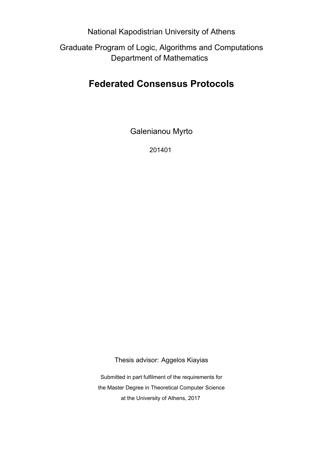National Kapodistrian University of Athens

Graduate Program of Logic, Algorithms and Computations Department of Mathematics

### **Federated Consensus Protocols**

Galenianou Myrto

201401

Thesis advisor: Aggelos Kiayias

Submitted in part fulfilment of the requirements for the Master Degree in Theoretical Computer Science at the University of Athens, 2017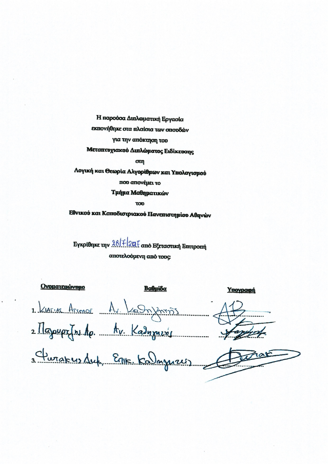Η παρούσα Διπλωματική Εργασία εκπονήθηκε στα πλαίσια των σπουδών για την απόκτηση του Μεταπτυχιακού Διπλώματος Ειδίκευσης  $\sigma$ m

Λογική και Θεωρία Αλγορίθμων και Υπολογισμού που απονέμει το Τμήμα Μαθηματικών

**TOD** 

Εθνικού και Καποδιστριακού Πανεπιστημίου Αθηνών

Εγκρίθηκε την 88/7/2017 από Εξεταστική Επιτροπή αποτελούμενη από τους:

**Ονοματεπώνυμο** Βαθμίδα Ynovoach 1. KIATIAS ATRENDE Av. La mymm) 2 Majoupz (n. 10. Av. Kadnzner) 3 Turakus Suf Erik Kalagusus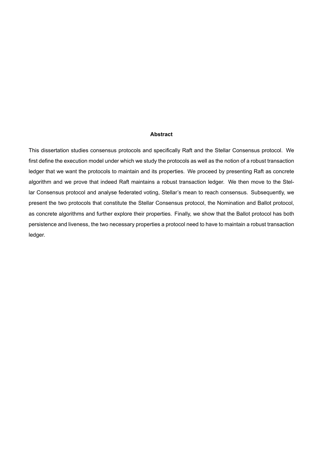#### **Abstract**

This dissertation studies consensus protocols and specifically Raft and the Stellar Consensus protocol. We first define the execution model under which we study the protocols as well as the notion of a robust transaction ledger that we want the protocols to maintain and its properties. We proceed by presenting Raft as concrete algorithm and we prove that indeed Raft maintains a robust transaction ledger. We then move to the Stellar Consensus protocol and analyse federated voting, Stellar's mean to reach consensus. Subsequently, we present the two protocols that constitute the Stellar Consensus protocol, the Nomination and Ballot protocol, as concrete algorithms and further explore their properties. Finally, we show that the Ballot protocol has both persistence and liveness, the two necessary properties a protocol need to have to maintain a robust transaction ledger.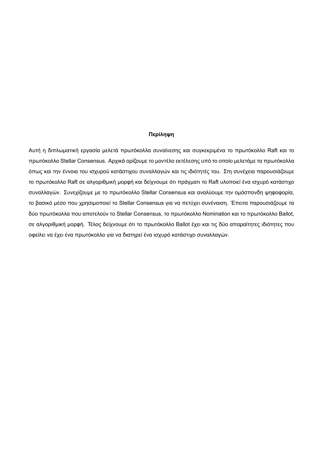#### **Περίληψη**

Αυτή η διπλωματική εργασία μελετά πρωτόκολλα συναίνεσης και συγκεκριμένα το πρωτόκολλο Raft και το πρωτόκολλο Stellar Consensus. Αρχικά ορίζουμε το μοντέλο εκτέλεσης υπό το οποίο μελετάμε τα πρωτόκολλα όπως και την έννοια του ισχυρού κατάστιχου συναλλαγών και τις ιδιότητές του. Στη συνέχεια παρουσιάζουμε το πρωτόκολλο Raft σε αλγοριθμική μορφή και δείχνουμε ότι πράγματι το Raft υλοποιεί ένα ισχυρό κατάστιχο συναλλαγών. Συνεχίζουμε με το πρωτόκολλο Stellar Consensus και αναλύουμε την ομόσπονδη ψηφοφορία, το βασικό μέσο που χρησιμοποιεί το Stellar Consensus για να πετύχει συνέναιση. Έπειτα παρουσιάζουμε τα δύο πρωτόκολλα που αποτελούν το Stellar Consensus, το πρωτόκολλο Nomination και το πρωτόκολλο Ballot, σε αλγοριθμική μορφή. Τέλος δείχνουμε ότι το πρωτόκολλο Ballot έχει και τις δύο απαραίτητες ιδιότητες που οφείλει να έχει ένα πρωτόκολλο για να διατηρεί ένα ισχυρό κατάστιχο συναλλαγών.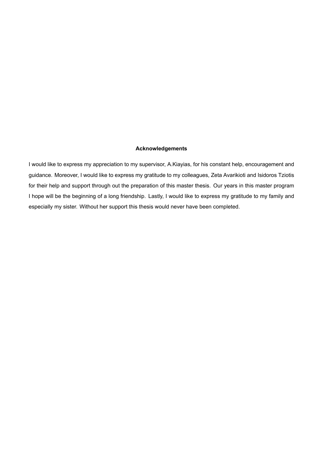### **Acknowledgements**

I would like to express my appreciation to my supervisor, A.Kiayias, for his constant help, encouragement and guidance. Moreover, I would like to express my gratitude to my colleagues, Zeta Avarikioti and Isidoros Tziotis for their help and support through out the preparation of this master thesis. Our years in this master program I hope will be the beginning of a long friendship. Lastly, I would like to express my gratitude to my family and especially my sister. Without her support this thesis would never have been completed.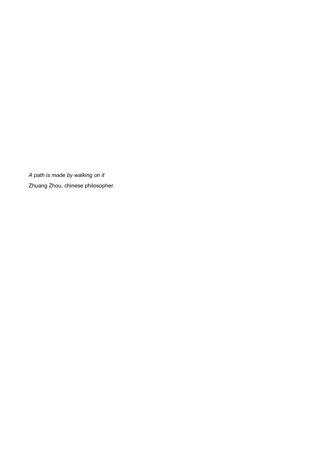*A path is made by walking on it* Zhuang Zhou, chinese philosopher.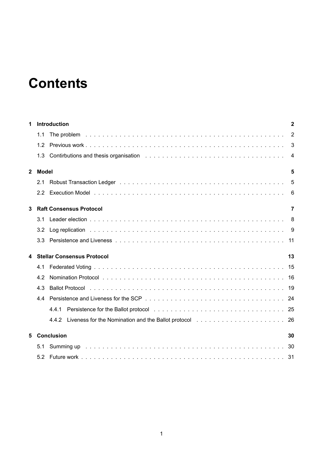# **Contents**

| 1            |       | Introduction                      | $\mathbf{2}$   |
|--------------|-------|-----------------------------------|----------------|
|              | 1.1   |                                   | $\overline{2}$ |
|              | 1.2   |                                   | $\mathbf{3}$   |
|              |       |                                   | -4             |
| $\mathbf{2}$ | Model |                                   | 5              |
|              | 2.1   |                                   | 5              |
|              | 2.2   |                                   | 6              |
| 3            |       | <b>Raft Consensus Protocol</b>    | 7              |
|              | 3.1   |                                   |                |
|              | 3.2   |                                   |                |
|              | 3.3   |                                   |                |
| 4            |       | <b>Stellar Consensus Protocol</b> | 13             |
|              | 4.1   |                                   |                |
|              | 4.2   |                                   |                |
|              | 4.3   |                                   |                |
|              | 4.4   |                                   |                |
|              |       | 4.4.1                             |                |
|              |       |                                   |                |
| 5            |       | <b>Conclusion</b>                 | 30             |
|              | 5.1   |                                   |                |
|              | 5.2   |                                   |                |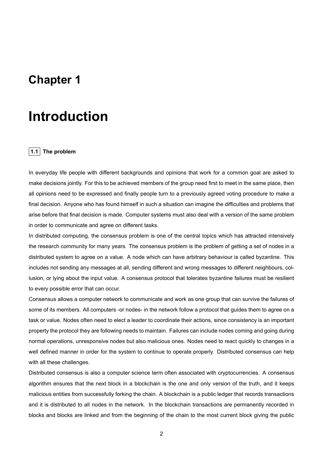### **Chapter 1**

## **Introduction**

### **1.1 The problem**

In everyday life people with different backgrounds and opinions that work for a common goal are asked to make decisions jointly. For this to be achieved members of the group need first to meet in the same place, then all opinions need to be expressed and finally people turn to a previously agreed voting procedure to make a final decision. Anyone who has found himself in such a situation can imagine the difficulties and problems that arise before that final decision is made. Computer systems must also deal with a version of the same problem in order to communicate and agree on different tasks.

In distributed computing, the consensus problem is one of the central topics which has attracted intensively the research community for many years. The consensus problem is the problem of getting a set of nodes in a distributed system to agree on a value. A node which can have arbitrary behaviour is called byzantine. This includes not sending any messages at all, sending different and wrong messages to different neighbours, collusion, or lying about the input value. A consensus protocol that tolerates byzantine failures must be resilient to every possible error that can occur.

Consensus allows a computer network to communicate and work as one group that can survive the failures of some of its members. All computers -or nodes- in the network follow a protocol that guides them to agree on a task or value. Nodes often need to elect a leader to coordinate their actions, since consistency is an important property the protocol they are following needs to maintain. Failures can include nodes coming and going during normal operations, unresponsive nodes but also malicious ones. Nodes need to react quickly to changes in a well defined manner in order for the system to continue to operate properly. Distributed consensus can help with all these challenges.

Distributed consensus is also a computer science term often associated with cryptocurrencies. A consensus algorithm ensures that the next block in a blockchain is the one and only version of the truth, and it keeps malicious entities from successfully forking the chain. A blockchain is a public ledger that records transactions and it is distributed to all nodes in the network. In the blockchain transactions are permanently recorded in blocks and blocks are linked and from the beginning of the chain to the most current block giving the public

2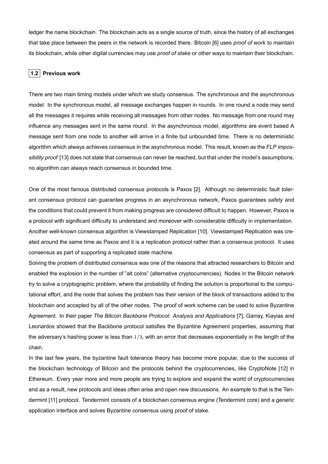ledger the name blockchain. The blockchain acts as a single source of truth, since the history of all exchanges that take place between the peers in the network is recorded there. Bitcoin [6] uses *proof of work* to maintain its blockchain, while other digital currencies may use *proof of stake* or other ways to maintain their blockchain.

### **1.2 Previous work**

There are two main timing models under which we study consensus. The synchronous and the asynchronous model. In the synchronous model, all message exchanges happen in rounds. In one round a node may send all the messages it requires while receiving all messages from other nodes. No message from one round may influence any messages sent in the same round. In the asynchronous model, algorithms are event based A message sent from one node to another will arrive in a finite but unbounded time. There is no deterministic algorithm which always achieves consensus in the asynchronous model. This result, known as the *FLP impossibility proof* [13] does not state that consensus can never be reached, but that under the model's assumptions, no algorithm can always reach consensus in bounded time.

One of the most famous distributed consensus protocols is Paxos [2]. Although no deterministic fault tolerant consensus protocol can guarantee progress in an asynchronous network, Paxos guarantees *safety* and the conditions that could prevent it from making progress are considered difficult to happen. However, Paxos is a protocol with significant difficulty to understand and moreover with considerable difficulty in implementation. Another well-known consensus algorithm is Viewstamped Replication [10]. Viewstamped Replication was created around the same time as Paxos and it is a replication protocol rather than a consensus protocol. It uses consensus as part of supporting a replicated state machine.

Solving the problem of distributed consensus was one of the reasons that attracted researchers to Bitcoin and enabled the explosion in the number of "alt coins" (alternative cryptocurrencies). Nodes in the Bitcoin network try to solve a cryptographic problem, where the probability of finding the solution is proportional to the computational effort, and the node that solves the problem has their version of the block of transactions added to the blockchain and accepted by all of the other nodes. The proof of work scheme can be used to solve Byzantine Agreement. In their paper *The Bitcoin Backbone Protocol: Analysis and Applications* [7], Garray, Kiayias and Leonardos showed that the Backbone protocol satisfies the Byzantine Agreement properties, assuming that the adversary's hashing power is less than  $1/3$ , with an error that decreases exponentially in the length of the chain.

In the last few years, the byzantine fault tolerance theory has become more popular, due to the success of the blockchain technology of Bitcoin and the protocols behind the cryptocurrencies, like CryptoNote [12] in Ethereum. Every year more and more people are trying to explore and expand the world of cryptocurrencies and as a result, new protocols and ideas often arise and open new discussions. An example to that is the Tendermint [11] protocol. Tendermint consists of a blockchain consensus engine (Tendermint core) and a generic application interface and solves Byzantine consensus using proof of stake.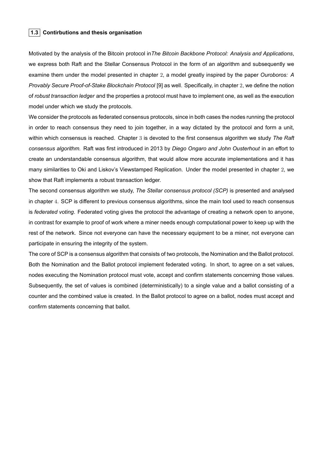### **1.3 Contirbutions and thesis organisation**

Motivated by the analysis of the Bitcoin protocol in*The Bitcoin Backbone Protocol: Analysis and Applications*, we express both Raft and the Stellar Consensus Protocol in the form of an algorithm and subsequently we examine them under the model presented in chapter 2, a model greatly inspired by the paper *Ouroboros: A Provably Secure Proof-of-Stake Blockchain Protocol* [9] as well. Specifically, in chapter 2, we define the notion of *robust transaction ledger* and the properties a protocol must have to implement one, as well as the execution model under which we study the protocols.

We consider the protocols as federated consensus protocols, since in both cases the nodes running the protocol in order to reach consensus they need to join together, in a way dictated by the protocol and form a unit, within which consensus is reached. Chapter 3 is devoted to the first consensus algorithm we study *The Raft consensus algorithm.* Raft was first introduced in 2013 by *Diego Ongaro and John Ousterhout* in an effort to create an understandable consensus algorithm, that would allow more accurate implementations and it has many similarities to Oki and Liskov's Viewstamped Replication. Under the model presented in chapter 2, we show that Raft implements a robust transaction ledger.

The second consensus algorithm we study, *The Stellar consensus protocol (SCP)* is presented and analysed in chapter 4. SCP is different to previous consensus algorithms, since the main tool used to reach consensus is *federated voting*. Federated voting gives the protocol the advantage of creating a network open to anyone, in contrast for example to proof of work where a miner needs enough computational power to keep up with the rest of the network. Since not everyone can have the necessary equipment to be a miner, not everyone can participate in ensuring the integrity of the system.

The core of SCP is a consensus algorithm that consists of two protocols, the Nomination and the Ballot protocol. Both the Nomination and the Ballot protocol implement federated voting. In short, to agree on a set values, nodes executing the Nomination protocol must vote, accept and confirm statements concerning those values. Subsequently, the set of values is combined (deterministically) to a single value and a ballot consisting of a counter and the combined value is created. In the Ballot protocol to agree on a ballot, nodes must accept and confirm statements concerning that ballot.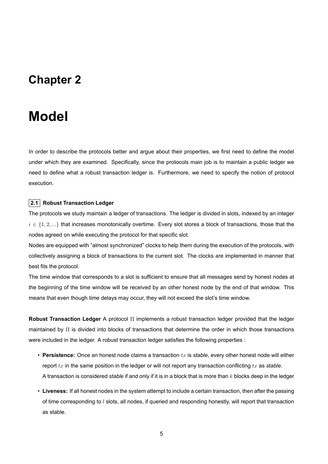### **Chapter 2**

## **Model**

In order to describe the protocols better and argue about their properties, we first need to define the model under which they are examined. Specifically, since the protocols main job is to maintain a public ledger we need to define what a robust transaction ledger is. Furthermore, we need to specify the notion of protocol execution.

### **2.1 Robust Transaction Ledger**

The protocols we study maintain a ledger of transactions. The ledger is divided in slots, indexed by an integer *i ∈ {*1*,* 2*, ...}* that increases monotonically overtime. Every slot stores a block of transactions, those that the nodes agreed on while executing the protocol for that specific slot.

Nodes are equipped with "almost synchronized" clocks to help them during the execution of the protocols, with collectively assigning a block of transactions to the current slot. The clocks are implemented in manner that best fits the protocol.

The time window that corresponds to a slot is sufficient to ensure that all messages send by honest nodes at the beginning of the time window will be received by an other honest node by the end of that window. This means that even though time delays may occur, they will not exceed the slot's time window.

**Robust Transaction Ledger** A protocol Π implements a robust transaction ledger provided that the ledger maintained by Π is divided into blocks of transactions that determine the order in which those transactions were included in the ledger. A robust transaction ledger satisfies the following properties :

- **Persistence:** Once an honest node claims a transaction *tx* is *stable*, every other honest node will either report *tx* in the same position in the ledger or will not report any transaction conflicting *tx* as *stable*. A transaction is considered *stable* if and only if it is in a block that is more than *k* blocks deep in the ledger
- **Liveness:** If all honest nodes in the system attempt to include a certain transaction, then after the passing of time corresponding to *l* slots, all nodes, if queried and responding honestly, will report that transaction as stable.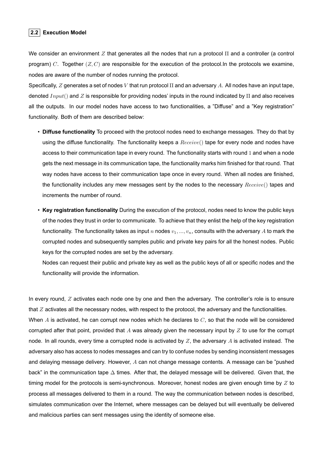### **2.2 Execution Model**

We consider an environment *Z* that generates all the nodes that run a protocol Π and a controller (a control program) *C*. Together (*Z, C*) are responsible for the execution of the protocol.In the protocols we examine, nodes are aware of the number of nodes running the protocol.

Specifically, *Z* generates a set of nodes *V* that run protocol Π and an adversary *A*. All nodes have an input tape, denoted *Input*() and *Z* is responsible for providing nodes' inputs in the round indicated by Π and also receives all the outputs. In our model nodes have access to two functionalities, a "Diffuse" and a "Key registration" functionality. Both of them are described below:

- **Diffuse functionality** To proceed with the protocol nodes need to exchange messages. They do that by using the diffuse functionality. The functionality keeps a *Receive*() tape for every node and nodes have access to their communication tape in every round. The functionality starts with round 1 and when a node gets the next message in its communication tape, the functionality marks him finished for that round. That way nodes have access to their communication tape once in every round. When all nodes are finished, the functionality includes any mew messages sent by the nodes to the necessary *Receive*() tapes and increments the number of round.
- **Key registration functionality** During the execution of the protocol, nodes need to know the public keys of the nodes they trust in order to communicate. To achieve that they enlist the help of the key registration functionality. The functionality takes as input  $n$  nodes  $v_1, ..., v_n$ , consults with the adversary  $A$  to mark the corrupted nodes and subsequently samples public and private key pairs for all the honest nodes. Public keys for the corrupted nodes are set by the adversary.

Nodes can request their public and private key as well as the public keys of all or specific nodes and the functionality will provide the information.

In every round, *Z* activates each node one by one and then the adversary. The controller's role is to ensure that *Z* activates all the necessary nodes, with respect to the protocol, the adversary and the functionalities. When *A* is activated, he can corrupt new nodes which he declares to *C*, so that the node will be considered corrupted after that point, provided that *A* was already given the necessary input by *Z* to use for the corrupt node. In all rounds, every time a corrupted node is activated by *Z*, the adversary *A* is activated instead. The adversary also has access to nodes messages and can try to confuse nodes by sending inconsistent messages and delaying message delivery. However, *A* can not change message contents. A message can be "pushed back" in the communication tape  $\Delta$  times. After that, the delayed message will be delivered. Given that, the timing model for the protocols is semi-synchronous. Moreover, honest nodes are given enough time by *Z* to process all messages delivered to them in a round. The way the communication between nodes is described, simulates communication over the Internet, where messages can be delayed but will eventually be delivered and malicious parties can sent messages using the identity of someone else.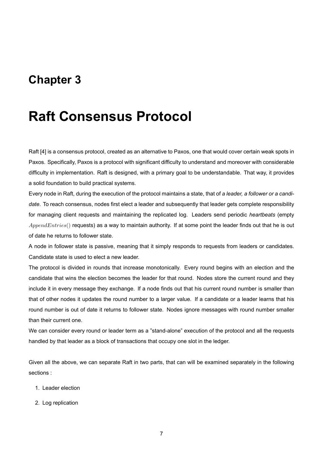### **Chapter 3**

## **Raft Consensus Protocol**

Raft [4] is a consensus protocol, created as an alternative to Paxos, one that would cover certain weak spots in Paxos. Specifically, Paxos is a protocol with significant difficulty to understand and moreover with considerable difficulty in implementation. Raft is designed, with a primary goal to be understandable. That way, it provides a solid foundation to build practical systems.

Every node in Raft, during the execution of the protocol maintains a state, that of *a leader, a follower or a candidate*. To reach consensus, nodes first elect a leader and subsequently that leader gets complete responsibility for managing client requests and maintaining the replicated log. Leaders send periodic *heartbeats* (empty *AppendEntries*() requests) as a way to maintain authority. If at some point the leader finds out that he is out of date he returns to follower state.

A node in follower state is passive, meaning that it simply responds to requests from leaders or candidates. Candidate state is used to elect a new leader.

The protocol is divided in rounds that increase monotonically. Every round begins with an election and the candidate that wins the election becomes the leader for that round. Nodes store the current round and they include it in every message they exchange. If a node finds out that his current round number is smaller than that of other nodes it updates the round number to a larger value. If a candidate or a leader learns that his round number is out of date it returns to follower state. Nodes ignore messages with round number smaller than their current one.

We can consider every round or leader term as a "stand-alone" execution of the protocol and all the requests handled by that leader as a block of transactions that occupy one slot in the ledger.

Given all the above, we can separate Raft in two parts, that can will be examined separately in the following sections :

- 1. Leader election
- 2. Log replication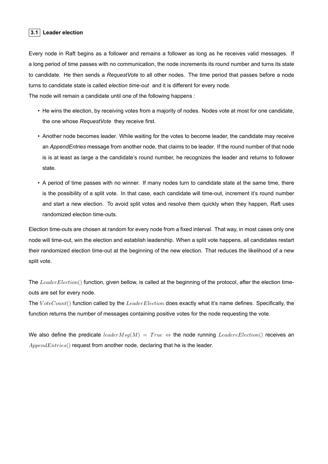### **3.1 Leader election**

Every node in Raft begins as a follower and remains a follower as long as he receives valid messages. If a long period of time passes with no communication, the node increments its round number and turns its state to candidate. He then sends a *RequestVote* to all other nodes. The time period that passes before a node turns to candidate state is called *election time-out* and it is different for every node.

The node will remain a candidate until one of the following happens :

- He wins the election, by receiving votes from a majority of nodes. Nodes vote at most for one candidate, the one whose *RequestVote* they receive first.
- Another node becomes leader. While waiting for the votes to become leader, the candidate may receive an *AppendEntries* message from another node, that claims to be leader. If the round number of that node is is at least as large a the candidate's round number, he recognizes the leader and returns to follower state.
- A period of time passes with no winner. If many nodes turn to candidate state at the same time, there is the possibility of a split vote. In that case, each candidate will time-out, increment it's round number and start a new election. To avoid split votes and resolve them quickly when they happen, Raft uses randomized election time-outs.

Election time-outs are chosen at random for every node from a fixed interval. That way, in most cases only one node will time-out, win the election and establish leadership. When a split vote happens, all candidates restart their randomized election time-out at the beginning of the new election. That reduces the likelihood of a new split vote.

Τhe *LeaderElection*() function, given bellow, is called at the beginning of the protocol, after the election timeouts are set for every node.

The *V oteCount*() function called by the *LeaderElection* does exactly what it's name defines. Specifically, the function returns the number of messages containing positive votes for the node requesting the vote.

We also define the predicate  $leaderMsg(M) = True \Leftrightarrow$  the node running  $LeaderElection()$  receives an *AppendEntries*() request from another node, declaring that he is the leader.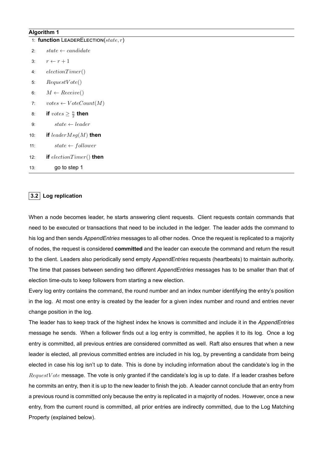### **Algorithm 1**

| 1: function LEADERELECTION( $state, r$ ) |                                  |  |
|------------------------------------------|----------------------------------|--|
| 2:                                       | $state \leftarrow candidate$     |  |
| 3:                                       | $r \leftarrow r + 1$             |  |
| 4:                                       | electronTimer()                  |  |
| 5:                                       | RequestVote()                    |  |
| 6:                                       | $M \leftarrow Receive()$         |  |
| 7:                                       | $votes \leftarrow VoteCount(M)$  |  |
| 8:                                       | if $votes \geq \frac{n}{2}$ then |  |
| 9:                                       | $state \leftarrow leader$        |  |
| 10:                                      | if $leaderMsg(M)$ then           |  |
| 11:                                      | $state \leftarrow follower$      |  |
| 12:                                      | if $electronTimer()$ then        |  |
| 13:                                      | go to step 1                     |  |

### **3.2 Log replication**

When a node becomes leader, he starts answering client requests. Client requests contain commands that need to be executed or transactions that need to be included in the ledger. The leader adds the command to his log and then sends *AppendEntries* messages to all other nodes. Once the request is replicated to a majority of nodes, the request is considered **committed** and the leader can execute the command and return the result to the client. Leaders also periodically send empty *AppendEntries* requests (heartbeats) to maintain authority. The time that passes between sending two different *AppendEntries* messages has to be smaller than that of election time-outs to keep followers from starting a new election.

Every log entry contains the command, the round number and an index number identifying the entry's position in the log. At most one entry is created by the leader for a given index number and round and entries never change position in the log.

The leader has to keep track of the highest index he knows is committed and include it in the *AppendEntries* message he sends. When a follower finds out a log entry is committed, he applies it to its log. Once a log entry is committed, all previous entries are considered committed as well. Raft also ensures that when a new leader is elected, all previous committed entries are included in his log, by preventing a candidate from being elected in case his log isn't up to date. This is done by including information about the candidate's log in the *RequestV ote* message. The vote is only granted if the candidate's log is up to date. If a leader crashes before he commits an entry, then it is up to the new leader to finish the job. A leader cannot conclude that an entry from a previous round is committed only because the entry is replicated in a majority of nodes. However, once a new entry, from the current round is committed, all prior entries are indirectly committed, due to the Log Matching Property (explained below).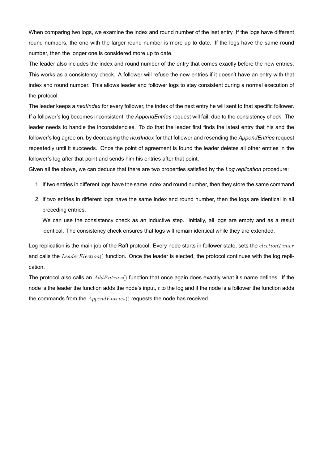When comparing two logs, we examine the index and round number of the last entry. If the logs have different round numbers, the one with the larger round number is more up to date. If the logs have the same round number, then the longer one is considered more up to date.

The leader also includes the index and round number of the entry that comes exactly before the new entries. This works as a consistency check. A follower will refuse the new entries if it doesn't have an entry with that index and round number. This allows leader and follower logs to stay consistent during a normal execution of the protocol.

The leader keeps a *nextIndex* for every follower, the index of the next entry he will sent to that specific follower. If a follower's log becomes inconsistent, the *AppendEntries* request will fail, due to the consistency check. The leader needs to handle the inconsistencies. To do that the leader first finds the latest entry that his and the follower's log agree on, by decreasing the *nextIndex* for that follower and resending the *AppendEntries* request repeatedly until it succeeds. Once the point of agreement is found the leader deletes all other entries in the follower's log after that point and sends him his entries after that point.

Given all the above, we can deduce that there are two properties satisfied by the *Log replication* procedure:

- 1. If two entries in different logs have the same index and round number, then they store the same command
- 2. If two entries in different logs have the same index and round number, then the logs are identical in all preceding entries.

We can use the consistency check as an inductive step. Initially, all logs are empty and as a result identical. The consistency check ensures that logs will remain identical while they are extended.

Log replication is the main job of the Raft protocol. Every node starts in follower state, sets the *electionT imer* and calls the *LeaderElection*() function. Once the leader is elected, the protocol continues with the log replication.

The protocol also calls an *AddEntries*() function that once again does exactly what it's name defines. If the node is the leader the function adds the node's input, *t* to the log and if the node is a follower the function adds the commands from the *AppendEntries*() requests the node has received.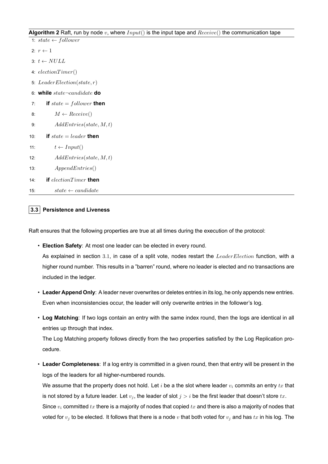### **Algorithm 2** Raft, run by node *v*, where *Input*() is the input tape and *Receive*() the communication tape

|     | 1: $state \leftarrow follower$       |
|-----|--------------------------------------|
|     | 2: $r \leftarrow 1$                  |
|     | 3: $t \leftarrow NULL$               |
|     | 4: $electronTimer()$                 |
|     | 5: LeaderElection(state, $r$ )       |
|     | 6: while $state\text{-}candidate$ do |
| 7:  | if $state = following$ then          |
| 8:  | $M \leftarrow Receiver()$            |
| 9:  | AddEntries(state, M, t)              |
| 10: | if $state = leader$ then             |
| 11: | $t \leftarrow Input()$               |
| 12: | AddEntries(state, M, t)              |
| 13: | AppendEntries()                      |
| 14: | if $electronTimer$ then              |
| 15: | $state \leftarrow candidate$         |

### **3.3 Persistence and Liveness**

Raft ensures that the following properties are true at all times during the execution of the protocol:

• **Election Safety**: At most one leader can be elected in every round.

As explained in section 3*.*1, in case of a split vote, nodes restart the *LeaderElection* function, with a higher round number. This results in a "barren" round, where no leader is elected and no transactions are included in the ledger.

- **Leader Append Only**: A leader never overwrites or deletes entries in its log, he only appends new entries. Even when inconsistencies occur, the leader will only overwrite entries in the follower's log.
- **Log Matching**: If two logs contain an entry with the same index round, then the logs are identical in all entries up through that index.

The Log Matching property follows directly from the two properties satisfied by the Log Replication procedure.

• **Leader Completeness**: If a log entry is committed in a given round, then that entry will be present in the logs of the leaders for all higher-numbered rounds.

We assume that the property does not hold. Let *i* be a the slot where leader *v<sup>i</sup>* commits an entry *tx* that is not stored by a future leader. Let  $v_j$ , the leader of slot  $j > i$  be the first leader that doesn't store  $tx$ . Since *v<sup>i</sup>* committed *tx* there is a majority of nodes that copied *tx* and there is also a majority of nodes that voted for  $v_j$  to be elected. It follows that there is a node  $v$  that both voted for  $v_j$  and has  $tx$  in his log. The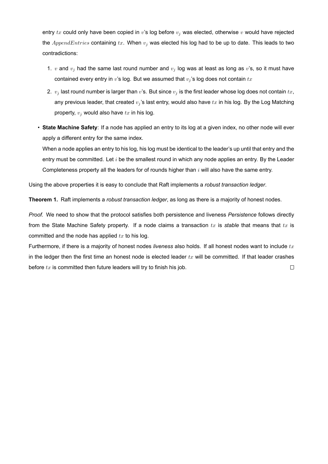entry *tx* could only have been copied in *v*'s log before *v<sup>j</sup>* was elected, otherwise *v* would have rejected the *AppendEntries* containing *tx*. When *v<sup>j</sup>* was elected his log had to be up to date. This leads to two contradictions:

- 1.  $v$  and  $v_j$  had the same last round number and  $v_j$  log was at least as long as  $v$ 's, so it must have contained every entry in *v*'s log. But we assumed that *v<sup>j</sup>* 's log does not contain *tx*
- 2.  $v_j$  last round number is larger than  $v$ 's. But since  $v_j$  is the first leader whose log does not contain  $tx$ , any previous leader, that created  $v_j$ 's last entry, would also have  $tx$  in his log. By the Log Matching property, *v<sup>j</sup>* would also have *tx* in his log.
- **State Machine Safety**: If a node has applied an entry to its log at a given index, no other node will ever apply a different entry for the same index.

When a node applies an entry to his log, his log must be identical to the leader's up until that entry and the entry must be committed. Let *i* be the smallest round in which any node applies an entry. By the Leader Completeness property all the leaders for of rounds higher than *i* will also have the same entry.

Using the above properties it is easy to conclude that Raft implements a *robust transaction ledger*.

**Theorem 1.** Raft implements a *robust transaction ledger*, as long as there is a majority of honest nodes.

*Proof.* We need to show that the protocol satisfies both persistence and liveness *Persistence* follows directly from the State Machine Safety property. If a node claims a transaction *tx* is *stable* that means that *tx* is committed and the node has applied *tx* to his log.

Furthermore, if there is a majority of honest nodes *liveness* also holds. If all honest nodes want to include *tx* in the ledger then the first time an honest node is elected leader *tx* will be committed. If that leader crashes before *tx* is committed then future leaders will try to finish his job. $\Box$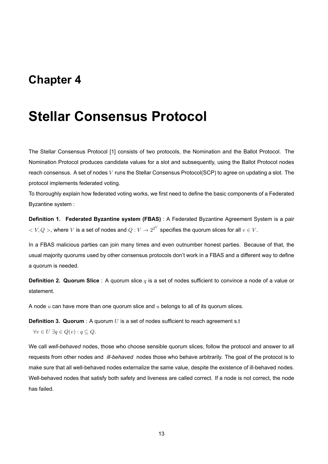### **Chapter 4**

## **Stellar Consensus Protocol**

The Stellar Consensus Protocol [1] consists of two protocols, the Nomination and the Ballot Protocol. The Nomination Protocol produces candidate values for a slot and subsequently, using the Ballot Protocol nodes reach consensus. A set of nodes *V* runs the Stellar Consensus Protocol(SCP) to agree on updating a slot. The protocol implements federated voting.

To thoroughly explain how federated voting works, we first need to define the basic components of a Federated Byzantine system :

**Definition 1. Federated Byzantine system (FBAS)** : A Federated Byzantine Agreement System is a pair  $V < V, Q >$ , where *V* is a set of nodes and  $Q: V \to 2^{2^V}$  specifies the quorum slices for all  $v \in V$ .

In a FBAS malicious parties can join many times and even outnumber honest parties. Because of that, the usual majority quorums used by other consensus protocols don't work in a FBAS and a different way to define a quorum is needed.

**Definition 2. Quorum Slice** : A quorum slice *q* is a set of nodes sufficient to convince a node of a value or statement.

A node *u* can have more than one quorum slice and *u* belongs to all of its quorum slices.

**Definition 3. Quorum** : A quorum *U* is a set of nodes sufficient to reach agreement s.t

*∀v*  $\in$  *U*  $\exists$ *q*  $\in$   $Q$ (*v*) : *q*  $\subseteq$   $Q$ .

We call *well-behaved* nodes, those who choose sensible quorum slices, follow the protocol and answer to all requests from other nodes and *ill-behaved* nodes those who behave arbitrarily. The goal of the protocol is to make sure that all well-behaved nodes externalize the same value, despite the existence of ill-behaved nodes. Well-behaved nodes that satisfy both safety and liveness are called correct. If a node is not correct, the node has failed.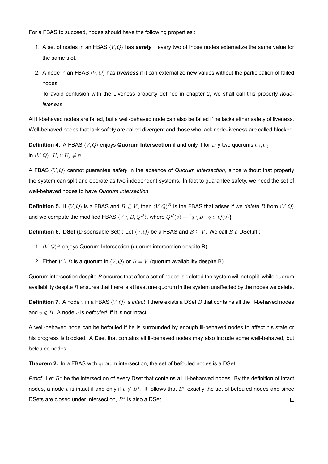For a FBAS to succeed, nodes should have the following properties :

- 1. A set of nodes in an FBAS *⟨V, Q⟩* has *safety* if every two of those nodes externalize the same value for the same slot.
- 2. A node in an FBAS *⟨V, Q⟩* has *liveness* if it can externalize new values without the participation of failed nodes.

To avoid confusion with the Liveness property defined in chapter 2, we shall call this property *nodeliveness*

All ill-behaved nodes are failed, but a well-behaved node can also be failed if he lacks either safety of liveness. Well-behaved nodes that lack safety are called divergent and those who lack node-liveness are called blocked.

**Definition 4.** A FBAS *⟨V, Q⟩* enjoys **Quorum Intersection** if and only if for any two quorums *U<sup>i</sup> , U<sup>j</sup>* in  $\langle V, Q \rangle$ ,  $U_i \cap U_j \neq \emptyset$ .

A FBAS *⟨V, Q⟩* cannot guarantee *safety* in the absence of *Quorum Intersection*, since without that property the system can split and operate as two independent systems. In fact to guarantee safety, we need the set of well-behaved nodes to have *Quorum Intersection*.

**Definition 5.** If  $\langle V, Q \rangle$  is a FBAS and  $B \subseteq V$ , then  $\langle V, Q \rangle^B$  is the FBAS that arises if we *delete*  $B$  from  $\langle V, Q \rangle$ and we compute the modified FBAS  $\langle V \setminus B, Q^B \rangle$ , where  $Q^B(v) = \{q \setminus B \mid q \in Q(v)\}$ 

**Definition 6. DSet** (Dispensable Set) : Let  $\langle V, Q \rangle$  be a FBAS and  $B \subseteq V$ . We call *B* a DSet, iff :

- 1. *⟨V, Q⟩ <sup>B</sup>* enjoys Quorum Intersection (quorum intersection despite B)
- 2. Either  $V \setminus B$  is a quorum in  $\langle V, Q \rangle$  or  $B = V$  (quorum availability despite B)

Quorum intersection despite *B* ensures that after a set of nodes is deleted the system will not split, while quorum availability despite *B* ensures that there is at least one quorum in the system unaffected by the nodes we delete.

**Definition 7.** A node *v* in a FBAS *⟨V, Q⟩* is *intact* if there exists a DSet *B* that contains all the ill-behaved nodes and  $v \notin B$ . A node  $v$  is *befouled* iff it is not intact

A well-behaved node can be befouled if he is surrounded by enough ill-behaved nodes to affect his state or his progress is blocked. A Dset that contains all ill-behaved nodes may also include some well-behaved, but befouled nodes.

**Theorem 2.** In a FBAS with quorum intersection, the set of befouled nodes is a DSet.

*Proof.* Let *B<sup>∗</sup>* be the intersection of every Dset that contains all ill-behanved nodes. By the definition of intact nodes, a node *v* is intact if and only if  $v \notin B^*$ . It follows that  $B^*$  exactly the set of befouled nodes and since DSets are closed under intersection, *B<sup>∗</sup>* is also a DSet. $\Box$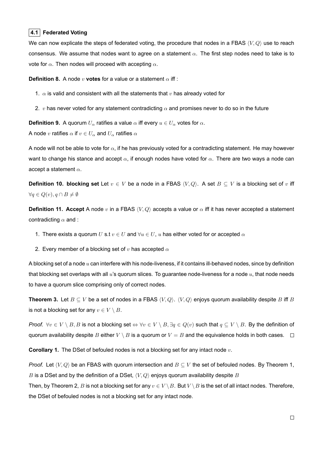### **4.1 Federated Voting**

We can now explicate the steps of federated voting, the procedure that nodes in a FBAS *⟨V, Q⟩* use to reach consensus. We assume that nodes want to agree on a statement *α*. The first step nodes need to take is to vote for *α*. Then nodes will proceed with accepting *α*.

**Definition 8.** A node *v* **votes** for a value or a statement *α* iff :

- 1. *α* is valid and consistent with all the statements that *v* has already voted for
- 2. *v* has never voted for any statement contradicting  $\alpha$  and promises never to do so in the future

**Definition 9.** A quorum  $U_\alpha$  ratifies a value  $\alpha$  iff every  $u \in U_\alpha$  votes for  $\alpha$ . A node *v* ratifies  $\alpha$  if  $v \in U_\alpha$  and  $U_\alpha$  ratifies  $\alpha$ 

A node will not be able to vote for *α*, if he has previously voted for a contradicting statement. He may however want to change his stance and accept *α*, if enough nodes have voted for *α*. There are two ways a node can accept a statement *α*.

**Definition 10. blocking set** Let  $v \in V$  be a node in a FBAS  $\langle V, Q \rangle$ . A set  $B \subseteq V$  is a blocking set of  $v$  iff *∀q*  $\in$   $Q(v)$ *, q* ∩ *B*  $\neq$   $\emptyset$ 

**Definition 11. Accept** A node *v* in a FBAS *⟨V, Q⟩* accepts a value or *α* iff it has never accepted a statement contradicting *α* and :

- 1. There exists a quorum *U* s.t  $v \in U$  and  $\forall u \in U$ , *u* has either voted for or accepted  $\alpha$
- 2. Every member of a blocking set of *v* has accepted *α*

A blocking set of a node *u* can interfere with his node-liveness, if it contains ill-behaved nodes, since by definition that blocking set overlaps with all *u*'s quorum slices. To guarantee node-liveness for a node *u*, that node needs to have a quorum slice comprising only of correct nodes.

**Theorem 3.** Let  $B \subseteq V$  be a set of nodes in a FBAS  $\langle V, Q \rangle$ .  $\langle V, Q \rangle$  enjoys quorum availability despite *B* iff *B* is not a blocking set for any  $v \in V \setminus B$ .

*Proof.*  $\forall v \in V \setminus B$ , B is not a blocking set  $\Leftrightarrow \forall v \in V \setminus B$ ,  $\exists q \in Q(v)$  such that  $q \subseteq V \setminus B$ . By the definition of quorum availability despite *B* either  $V \setminus B$  is a quorum or  $V = B$  and the equivalence holds in both cases.  $\Box$ 

**Corollary 1.** The DSet of befouled nodes is not a blocking set for any intact node *v*.

*Proof.* Let  $\langle V, Q \rangle$  be an FBAS with quorum intersection and  $B \subset V$  the set of befouled nodes. By Theorem 1, *B* is a DSet and by the definition of a DSet, *⟨V, Q⟩* enjoys quorum availability despite *B*

Then, by Theorem 2, *B* is not a blocking set for any  $v \in V \setminus B$ . But  $V \setminus B$  is the set of all intact nodes. Therefore, the DSet of befouled nodes is not a blocking set for any intact node.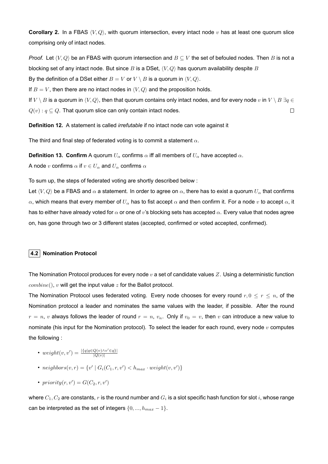**Corollary 2.** In a FBAS *⟨V, Q⟩*, with quorum intersection, every intact node *v* has at least one quorum slice comprising only of intact nodes.

*Proof.* Let  $\langle V, Q \rangle$  be an FBAS with quorum intersection and  $B \subseteq V$  the set of befouled nodes. Then B is not a blocking set of any intact node. But since *B* is a DSet, *⟨V, Q⟩* has quorum availability despite *B* By the definition of a DSet either  $B = V$  or  $V \setminus B$  is a quorum in  $\langle V, Q \rangle$ .

If  $B = V$ , then there are no intact nodes in  $\langle V, Q \rangle$  and the proposition holds.

If *V*  $\setminus$  *B* is a quorum in  $\langle V, Q \rangle$ , then that quorum contains only intact nodes, and for every node *v* in *V*  $\setminus$  *B*  $\exists q \in$  $Q(v): q \subseteq Q$ . That quorum slice can only contain intact nodes.  $\Box$ 

**Definition 12.** A statement is called *irrefutable* if no intact node can vote against it

The third and final step of federated voting is to commit a statement *α*.

**Definition 13. Confirm** A quorum  $U_\alpha$  confirms  $\alpha$  iff all members of  $U_\alpha$  have accepted  $\alpha$ .

A node *v* confirms  $\alpha$  if  $v \in U_{\alpha}$  and  $U_{\alpha}$  confirms  $\alpha$ 

To sum up, the steps of federated voting are shortly described below :

Let  $\langle V, Q \rangle$  be a FBAS and  $\alpha$  a statement. In order to agree on  $\alpha$ , there has to exist a quorum  $U_\alpha$  that confirms *α*, which means that every member of *U<sup>α</sup>* has to fist accept *α* and then confirm it. For a node *v* to accept *α*, it has to either have already voted for *α* or one of *v*'s blocking sets has accepted *α*. Every value that nodes agree on, has gone through two or 3 different states (accepted, confirmed or voted accepted, confirmed).

### **4.2 Nomination Protocol**

The Nomination Protocol produces for every node *v* a set of candidate values *Z*. Using a deterministic function *combine*(), *v* will get the input value *z* for the Ballot protocol.

The Nomination Protocol uses federated voting. Every node chooses for every round  $r, 0 \le r \le n$ , of the Nomination protocol a leader and nominates the same values with the leader, if possible. After the round  $r = n$ , *v* always follows the leader of round  $r = n$ ,  $v_n$ . Only if  $v_0 = v$ , then *v* can introduce a new value to nominate (his input for the Nomination protocol). To select the leader for each round, every node *v* computes the following :

- $\bullet$  *weight*(*v*, *v'*) =  $\frac{|\{q|q \in Q(v) \wedge v' \in q\}|}{|Q(v)|}$ *|Q*(*v*)*|*
- $neighbors(v, r) = \{v' \mid G_i(C_1, r, v') < h_{max} \cdot weight(v, v')\}$
- $priority(r, v') = G(C_2, r, v')$

where  $C_1,C_2$  are constants,  $r$  is the round number and  $G_i$  is a slot specific hash function for slot  $i$ , whose range can be interpreted as the set of integers  $\{0, ..., h_{max} - 1\}$ .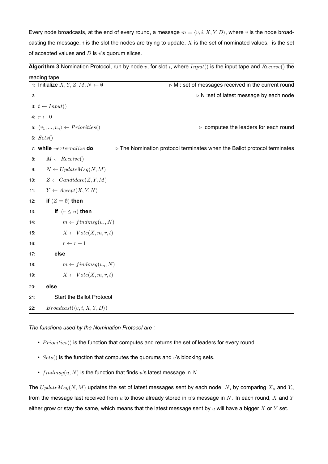Every node broadcasts, at the end of every round, a message  $m = \langle v, i, X, Y, D \rangle$ , where  $v$  is the node broadcasting the message, *i* is the slot the nodes are trying to update, *X* is the set of nominated values, is the set of accepted values and *D* is *v*'s quorum slices.

**Algorithm 3** Nomination Protocol, run by node *v*, for slot *i*, where *Input*() is the input tape and *Receive*() the

| reading tape                                            |                                                                                         |
|---------------------------------------------------------|-----------------------------------------------------------------------------------------|
| 1: Initialize $X, Y, Z, M, N \leftarrow \emptyset$      | ⊳ M : set of messages received in the current round                                     |
| 2:                                                      | ⊳ N :set of latest message by each node                                                 |
| 3: $t \leftarrow Input()$                               |                                                                                         |
| 4: $r \leftarrow 0$                                     |                                                                                         |
| 5: $\langle v_1, , v_n \rangle \leftarrow Priorities()$ | $\triangleright$ computes the leaders for each round                                    |
| 6: $Sets()$                                             |                                                                                         |
| 7: while $\neg extremalize$ do                          | $\triangleright$ The Nomination protocol terminates when the Ballot protocol terminates |
| $M \leftarrow Receiver()$<br>8:                         |                                                                                         |
| $N \leftarrow UpdateMsg(N, M)$<br>9:                    |                                                                                         |
| $Z \leftarrow Candidate(Z, Y, M)$<br>10:                |                                                                                         |
| $Y \leftarrow Accept(X, Y, N)$<br>11:                   |                                                                                         |
| if $(Z = \emptyset)$ then<br>12:                        |                                                                                         |
| if $(r \leq n)$ then<br>13:                             |                                                                                         |
| $m \leftarrow findmsg(v_r,N)$<br>14:                    |                                                                                         |
| $X \leftarrow Vote(X, m, r, t)$<br>15:                  |                                                                                         |
| $r \leftarrow r + 1$<br>16:                             |                                                                                         |
| else<br>17:                                             |                                                                                         |
| $m \leftarrow findmsg(v_n,N)$<br>18:                    |                                                                                         |
| $X \leftarrow Vote(X, m, r, t)$<br>19:                  |                                                                                         |
| else<br>20:                                             |                                                                                         |
| <b>Start the Ballot Protocol</b><br>21:                 |                                                                                         |
| $Broadcast(\langle v, i, X, Y, D \rangle)$<br>22:       |                                                                                         |

*The functions used by the Νomination Protocol are :*

- *Priorities*() is the function that computes and returns the set of leaders for every round.
- *Sets*() is the function that computes the quorums and *v*'s blocking sets.
- *f indmsg*(*u, N*) is the function that finds *u*'s latest message in *N*

The *U pdateMsg*(*N, M*) updates the set of latest messages sent by each node, *N*, by comparing *X<sup>u</sup>* and *Y<sup>u</sup>* from the message last received from *u* to those already stored in *u*'s message in *N*. In each round, *X* and *Y* either grow or stay the same, which means that the latest message sent by *u* will have a bigger *X* or *Y* set.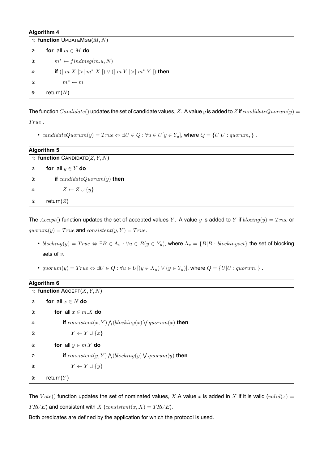### **Algorithm 4**

|    | 1: function UPDATEMSG $(M, N)$                     |  |  |
|----|----------------------------------------------------|--|--|
| 2: | for all $m \in M$ do                               |  |  |
| 3: | $m^* \leftarrow findmsg(m.u,N)$                    |  |  |
| 4: | if $( m.X  >  m^*.X ) \vee ( m.Y  >  m^*.Y )$ then |  |  |
| 5: | $m^* \leftarrow m$                                 |  |  |
| 6: | return( $N$ )                                      |  |  |

The function  $Candidate()$  updates the set of candidate values, Z. A value y is added to Z if  $candidateQuorum(y)$  = *T rue* .

• candidateQuorum(y) = True  $\Leftrightarrow \exists U \in Q : \forall u \in U | y \in Y_u$ , where  $Q = \{U | U : quorum, \}$ .

|    | <b>Algorithm 5</b>                |  |  |
|----|-----------------------------------|--|--|
|    | 1: function CANDIDATE $(Z, Y, N)$ |  |  |
| 2: | for all $y \in Y$ do              |  |  |
| 3: | if candidateQuorum $(y)$ then     |  |  |
| 4: | $Z \leftarrow Z \cup \{y\}$       |  |  |
| 5: | return( $Z$ )                     |  |  |

The  $Accept()$  function updates the set of accepted values *Y*. A value *y* is added to *Y* if  $blocking(y) = True$  or  $quorum(y) = True$  and  $consistent(y, Y) = True$ .

- $blocking(y) = True \Leftrightarrow \exists B \in \Lambda_v : \forall u \in B(y \in Y_u)$ , where  $\Lambda_v = \{B|B : blockingset\}$  the set of blocking sets of *v*.
- quorum(y) = True  $\Leftrightarrow \exists U \in Q : \forall u \in U$   $[(y \in X_u) \vee (y \in Y_u)]$ , where  $Q = \{U | U : quorum, \}$ .

### **Algorithm 6**

| 1: function $Accept(X, Y, N)$ |                                                               |  |
|-------------------------------|---------------------------------------------------------------|--|
| 2:                            | for all $x \in N$ do                                          |  |
| 3:                            | for all $x \in m.X$ do                                        |  |
| 4:                            | if $consistent(x, Y) \wedge (blocking(x) \vee quorum(x)$ then |  |
| 5:                            | $Y \leftarrow Y \cup \{x\}$                                   |  |
| 6:                            | for all $y \in m.Y$ do                                        |  |
| 7:                            | if $consistent(y, Y) \wedge (blocking(y) \vee quorum(y)$ then |  |
| 8:                            | $Y \leftarrow Y \cup \{y\}$                                   |  |
| 9:                            | return( $Y$ )                                                 |  |

The  $Vote()$  function updates the set of nominated values, *X*.A value *x* is added in *X* if it is valid (*valid*(*x*) = *TRUE*) and consistent with *X* (*consistent*(*x, X*) = *TRUE*).

Both predicates are defined by the application for which the protocol is used.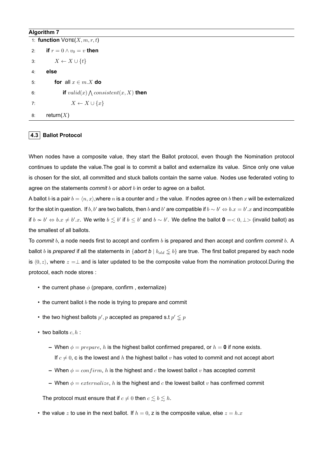### **Algorithm 7**

|    | 1: function $V$ OTE $(X, m, r, t)$        |
|----|-------------------------------------------|
| 2: | if $r=0 \wedge v_0=v$ then                |
|    | $X \leftarrow X \cup \{t\}$<br>3:         |
| 4: | else                                      |
| 5: | for all $x \in m.X$ do                    |
| 6: | if $valid(x) \wedge consistent(x,X)$ then |
| 7: | $X \leftarrow X \cup \{x\}$               |
| 8: | return $(X)$                              |

### **4.3 Ballot Protocol**

When nodes have a composite value, they start the Ballot protocol, even though the Nomination protocol continues to update the value.The goal is to commit a ballot and externalize its value. Since only one value is chosen for the slot, all committed and stuck ballots contain the same value. Nodes use federated voting to agree on the statements *commit b* or *abort b* in order to agree on a ballot.

A ballot *b* is a pair  $b = \langle n, x \rangle$ , where *n* is a counter and *x* the value. If nodes agree on *b* then *x* will be externalized for the slot in question. If  $b, b'$  are two ballots, then  $b$  and  $b'$  are compatible if  $b \sim b' \Leftrightarrow b.x = b'.x$  and incompatible if  $b\nsim b'\Leftrightarrow b.x\neq b'.x.$  We write  $b\lesssim b'$  if  $b\leq b'$  and  $b\sim b'.$  We define the ballot  $\mathbf{0}=<0,\perp>$  (invalid ballot) as the smallest of all ballots.

To *commit b*, a node needs first to accept and confirm *b* is prepared and then accept and confirm *commit b*. A ballot *b* is *prepared* if all the statements in {*abort b*  $|b_{old} \le b$ } are true. The first ballot prepared by each node is  $\langle 0, z \rangle$ , where  $z = \perp$  and is later updated to be the composite value from the nomination protocol.During the protocol, each node stores :

- the current phase *ϕ* (prepare, confirm , externalize)
- the current ballot *b* the node is trying to prepare and commit
- the two highest ballots  $p', p$  accepted as prepared s.t  $p' \lessapprox p$
- two ballots  $c, h$  :
	- $\blacktriangle$  When  $\phi =$  *prepare*, *h* is the highest ballot confirmed prepared, or  $h = 0$  if none exists. If  $c \neq 0$ , c is the lowest and *h* the highest ballot *v* has voted to commit and not accept abort
	- **–** When *ϕ* = *conf irm*, *h* is the highest and *c* the lowest ballot *v* has accepted commit
	- **–** When *ϕ* = *externalize*, *h* is the highest and *c* the lowest ballot *v* has confirmed commit

The protocol must ensure that if  $c \neq 0$  then  $c \leq b \leq h$ .

• the value z to use in the next ballot. If  $h = 0$ , z is the composite value, else  $z = h.x$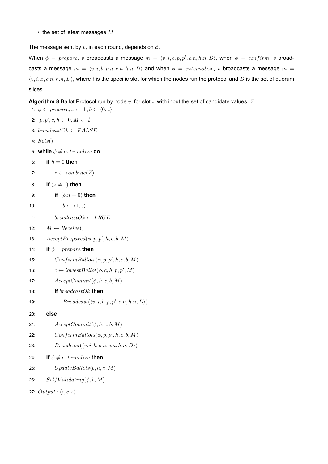• the set of latest messages *M*

The message sent by *v*, in each round, depends on *ϕ*.

When  $\phi = prepare$ , *v* broadcasts a message  $m = \langle v, i, b, p, p', c.n, h.n, D \rangle$ , when  $\phi = confirm$ , *v* broadcasts a message  $m = \langle v, i, b, p.n, c.n, h.n, D \rangle$  and when  $\phi = extremalize$ , *v* broadcasts a message  $m =$ *⟨v, i, x, c.n, h.n, D⟩*, where *i* is the specific slot for which the nodes run the protocol and *D* is the set of quorum slices.

### **Algorithm 8** Ballot Protocol,run by node *v*, for slot *i*, with input the set of candidate values, *Z*

```
1: ϕ ← prepare, z ← ⊥, b ← ⟨0, z⟩
 2: p, p', c, h \leftarrow 0, M \leftarrow \emptyset3: broadcastOk ← F ALSE
 4: Sets()
 5: while \phi \neq extremalize do
 6: if h = 0 then
 7: z \leftarrow \text{combine}(Z)8: if (z ̸=⊥) then
 9: if (b.n = 0) then
10: b \leftarrow \langle 1, z \rangle11: broadcastOk \leftarrow TRUE12: M \leftarrow \text{Receive}()13: AcceptPrepared(\phi, p, p', h, c, b, M)14: if \phi = prepare then
15: ConfirmBallots(\phi, p, p', h, c, b, M)16: c \leftarrow lowestBallot(\phi, c, h, p, p', M)17: AcceptCommit(ϕ, h, c, b, M)
18: if broadcastOk then
19: Broadcast(\langle v, i, b, p, p', c.n, h.n, D \rangle)
20: else
21: AcceptCommit(ϕ, h, c, b, M)
22: ConfirmBallots(\phi, p, p', h, c, b, M)23: Broadcast(\langle v, i, b, p.n, c.n, h.n, D \rangle)
24: if \phi \neq extremalize then
25: U pdateBallots(b, h, z, M)
26: SelfV alidating(ϕ, b, M)
27: Output : (i, c.x)
```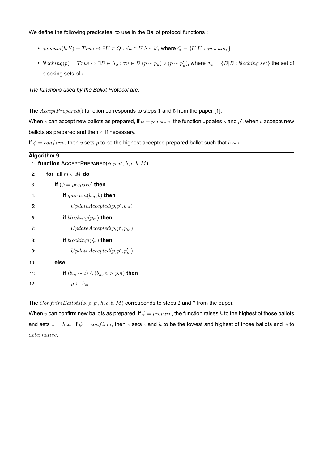We define the following predicates, to use in the Ballot protocol functions :

- $quorum(b, b') = True \Leftrightarrow \exists U \in Q : \forall u \in U \; b \sim b'$ , where  $Q = \{U|U : quorum, \}$ .
- $\textit{blocking}(p) = \textit{True} \Leftrightarrow \exists B \in \Lambda_v : \forall u \in B \ (p \sim p_u) \lor (p \sim p_u')$ , where  $\Lambda_v = \{B | B : \textit{blocking set}\}$  the set of blocking sets of *v*.

*The functions used by the Ballot Protocol are:*

The *AcceptP repared*() function corresponds to steps 1 and 5 from the paper [1].

When  $v$  can accept new ballots as prepared, if  $\phi = prepare$ , the function updates  $p$  and  $p'$ , when  $v$  accepts new ballots as prepared and then *c*, if necessary.

If  $\phi = confirm$ , then *v* sets *p* to be the highest accepted prepared ballot such that  $b \sim c$ .

|                                                        | <b>Algorithm 9</b>                          |  |  |
|--------------------------------------------------------|---------------------------------------------|--|--|
| 1: function ACCEPTPREPARED $(\phi, p, p', h, c, b, M)$ |                                             |  |  |
| 2:                                                     | for all $m \in M$ do                        |  |  |
| 3:                                                     | if ( $\phi = prepare$ ) then                |  |  |
| 4:                                                     | if $quorum(b_m, b)$ then                    |  |  |
| 5:                                                     | $UpdateAccepted(p, p', b_m)$                |  |  |
| 6:                                                     | if $blocking(p_m)$ then                     |  |  |
| 7:                                                     | $UpdateAccepted(p, p', p_m)$                |  |  |
| 8:                                                     | if $blocking(p'_m)$ then                    |  |  |
| 9:                                                     | $UpdateAccepted(p, p', p'_m)$               |  |  |
| 10:                                                    | else                                        |  |  |
| 11:                                                    | if $(b_m \sim c) \wedge (b_m.n > p.n)$ then |  |  |
| 12:                                                    | $p \leftarrow b_m$                          |  |  |

The  $ConfirmBallots(\phi, p, p', h, c, b, M)$  corresponds to steps 2 and 7 from the paper.

When *v* can confirm new ballots as prepared, if *ϕ* = *prepare*, the function raises *h* to the highest of those ballots and sets  $z = h.x$ . If  $\phi = confirm$ , then *v* sets *c* and *h* to be the lowest and highest of those ballots and  $\phi$  to *externalize*.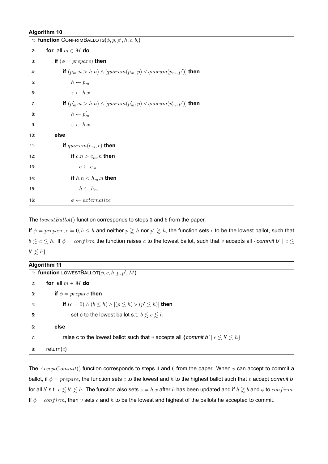### **Algorithm 10**

|     | 1: function CONFRIMBALLOTS $(\phi, p, p', h, c, b)$                     |  |  |
|-----|-------------------------------------------------------------------------|--|--|
| 2:  | for all $m \in M$ do                                                    |  |  |
| 3:  | if $(\phi = prepare)$ then                                              |  |  |
| 4:  | if $(p_m.n > h.n) \wedge [quorum(p_m, p) \vee quorum(p_m, p')]$ then    |  |  |
| 5:  | $h \leftarrow p_m$                                                      |  |  |
| 6:  | $z \leftarrow h.x$                                                      |  |  |
| 7:  | if $(p'_m.n > h.n) \wedge [quorum(p'_m, p) \vee quorum(p'_m, p')]$ then |  |  |
| 8:  | $h \leftarrow p'_m$                                                     |  |  |
| 9:  | $z \leftarrow h.x$                                                      |  |  |
| 10: | else                                                                    |  |  |
| 11: | if $quorum(c_m, c)$ then                                                |  |  |
| 12: | if $c.n > c_m.n$ then                                                   |  |  |
| 13: | $c \leftarrow c_m$                                                      |  |  |
| 14: | if $h.n < h_m.n$ then                                                   |  |  |
| 15: | $h \leftarrow h_m$                                                      |  |  |
| 16: | $\phi \leftarrow externalize$                                           |  |  |

The *lowestBallot*() function corresponds to steps 3 and 6 from the paper.

If  $\phi = prepare, c = 0, b \le h$  and neither  $p \gtrsim h$  nor  $p' \gtrsim h$ , the function sets  $c$  to be the lowest ballot, such that  $b \lesssim c \lesssim h$ . If  $\phi = confirm$  the function raises *c* to the lowest ballot, such that *v* accepts all *{commit b'*  $|c \lesssim$  $b' \lesssim h$ .

| Algorithm 11 |                                                                                              |  |  |
|--------------|----------------------------------------------------------------------------------------------|--|--|
|              | 1: function LOWESTBALLOT $(\phi, c, h, p, p', M)$                                            |  |  |
| $2^{\cdot}$  | for all $m \in M$ do                                                                         |  |  |
| 3:           | if $\phi = \text{prepare}$ then                                                              |  |  |
| 4:           | if $(c = 0) \wedge (b \leq h) \wedge [(p \leq h) \vee (p' \leq h)]$ then                     |  |  |
| 5:           | set c to the lowest ballot s.t. $b \leq c \leq h$                                            |  |  |
| 6:           | else                                                                                         |  |  |
| 7:           | raise c to the lowest ballot such that v accepts all {commit b' $c \lesssim b' \lesssim h$ } |  |  |
| 8:           | return $(c)$                                                                                 |  |  |

The *AcceptCommit*() function corresponds to steps 4 and 6 from the paper. When *v* can accept to commit a ballot, if *ϕ* = *prepare*, the function sets *c* to the lowest and *h* to the highest ballot such that *v* accept *commit b'* for all  $b'$  s.t.  $c\lesssim b'\lesssim h.$  The function also sets  $z=h.x$  after  $h$  has been updated and if  $h\gtrsim b$  and  $\phi$  to  $confirm.$ If *ϕ* = *conf irm*, then *v* sets *c* and *h* to be the lowest and highest of the ballots he accepted to commit.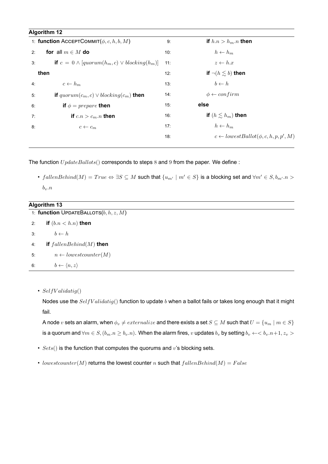| <b>Algorithm 12</b>                                               |                 |                                                   |
|-------------------------------------------------------------------|-----------------|---------------------------------------------------|
| 1: function AcceptCommit $(\phi, c, h, b, M)$                     | 9:              | if $h.n > h_m.n$ then                             |
| for all $m \in M$ do<br>2:                                        | 10:             | $h \leftarrow h_m$                                |
| <b>if</b> $c = 0 \land [quorum(h_m, c) \lor blocking(h_m)]$<br>3: | 11:             | $z \leftarrow h.x$                                |
| then                                                              |                 | if $\neg (h \leq b)$ then                         |
| $c \leftarrow h_m$<br>4:                                          | 13:             | $b \leftarrow h$                                  |
| if $quorum(c_m, c) \vee blocking(c_m)$ then<br>5:                 | 14:             | $\phi \leftarrow confirm$                         |
| if $\phi = \text{prepare}$ then<br>6:                             | 15 <sup>·</sup> | else                                              |
| if $c.n > c_m.n$ then<br>7:                                       | 16:             | if $(h \lesssim h_m)$ then                        |
| 8:<br>$c \leftarrow c_m$                                          | 17:             | $h \leftarrow h_m$                                |
|                                                                   | 18:             | $c \leftarrow lowestBallot(\phi, c, h, p, p', M)$ |
|                                                                   |                 |                                                   |

The function *U pdateBallots*() corresponds to steps 8 and 9 from the paper. We define :

• fallenBehind(M) = True  $\Leftrightarrow$   $\exists S \subseteq M$  such that  $\{u_{m'} \mid m' \in S\}$  is a blocking set and  $\forall m' \in S, b_{m'}.n >$ *bv.n*

| Algorithm 13                             |                                     |
|------------------------------------------|-------------------------------------|
| 1: function UPDATEBALLOTS $(b, h, z, M)$ |                                     |
| 2:                                       | if $(b.n < h.n)$ then               |
| 3:                                       | $b \leftarrow h$                    |
| 4:                                       | if $fallenBehind(M)$ then           |
| 5:                                       | $n \leftarrow lowestcounter(M)$     |
| 6:                                       | $b \leftarrow \langle n, z \rangle$ |

• *SelfV alidatig*()

Nodes use the *SelfV alidatig*() function to update *b* when a ballot fails or takes long enough that it might fail.

A node *v* sets an alarm, when  $\phi_v \neq externalize$  and there exists a set  $S \subseteq M$  such that  $U = \{u_m \mid m \in S\}$ is a quorum and  $\forall m \in S, (b_m.n \ge b_v.n)$ . When the alarm fires, v updates  $b_v$  by setting  $b_v \leftarrow b_v.n+1, z_v > b_v.n+1$ 

- *Sets*() is the function that computes the quorums and *v*'s blocking sets.
- *lowestcounter*( $M$ ) returns the lowest counter  $n$  such that  $fallenBehind(M) = False$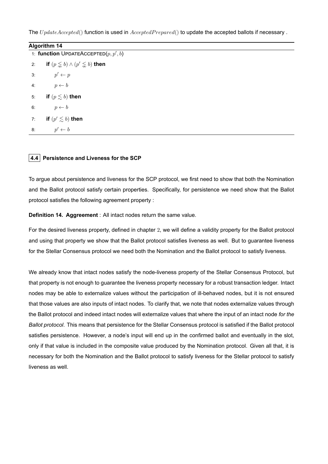The *U* pdateAccepted() function is used in  $AcceptedPrepared()$  to update the accepted ballots if necessary.

| <b>Algorithm 14</b> |                                                          |  |
|---------------------|----------------------------------------------------------|--|
|                     | 1: function UPDATEACCEPTED $(p, p', b)$                  |  |
|                     | 2: if $(p \lessapprox b) \wedge (p' \lessapprox b)$ then |  |
|                     | 3: $p' \leftarrow p$                                     |  |
| 4:                  | $p \leftarrow b$                                         |  |
| 5 <sup>°</sup>      | if $(p \lesssim b)$ then                                 |  |
| 6:                  | $p \leftarrow b$                                         |  |
| 7:                  | if $(p'\lesssim b)$ then                                 |  |
| 8:                  | $p' \leftarrow b$                                        |  |
|                     |                                                          |  |

### **4.4 Persistence and Liveness for the SCP**

To argue about persistence and liveness for the SCP protocol, we first need to show that both the Nomination and the Ballot protocol satisfy certain properties. Specifically, for persistence we need show that the Ballot protocol satisfies the following agreement property :

**Definition 14. Aggreement** : All intact nodes return the same value.

For the desired liveness property, defined in chapter 2, we will define a validity property for the Ballot protocol and using that property we show that the Ballot protocol satisfies liveness as well. But to guarantee liveness for the Stellar Consensus protocol we need both the Nomination and the Ballot protocol to satisfy liveness.

We already know that intact nodes satisfy the node-liveness property of the Stellar Consensus Protocol, but that property is not enough to guarantee the liveness property necessary for a robust transaction ledger. Intact nodes may be able to externalize values without the participation of ill-behaved nodes, but it is not ensured that those values are also inputs of intact nodes. To clarify that, we note that nodes externalize values through the Ballot protocol and indeed intact nodes will externalize values that where the input of an intact node *for the Ballot protocol*. This means that persistence for the Stellar Consensus protocol is satisfied if the Ballot protocol satisfies persistence. However, a node's input will end up in the confirmed ballot and eventually in the slot, only if that value is included in the composite value produced by the Nomination protocol. Given all that, it is necessary for both the Nomination and the Ballot protocol to satisfy liveness for the Stellar protocol to satisfy liveness as well.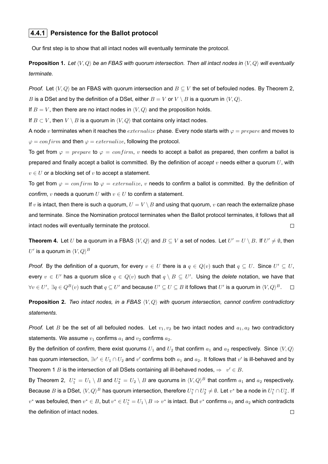### **4.4.1 Persistence for the Ballot protocol**

Our first step is to show that all intact nodes will eventually terminate the protocol.

**Proposition 1.** *Let ⟨V, Q⟩ be an FBAS with quorum intersection. Then all intact nodes in ⟨V, Q⟩ will eventually terminate.*

*Proof.* Let  $\langle V, Q \rangle$  be an FBAS with quorum intersection and  $B \subseteq V$  the set of befouled nodes. By Theorem 2, *B* is a DSet and by the definition of a DSet, either  $B = V$  or  $V \setminus B$  is a quorum in  $\langle V, Q \rangle$ .

If  $B = V$ , then there are no intact nodes in  $\langle V, Q \rangle$  and the proposition holds.

If  $B \subset V$ , then  $V \setminus B$  is a quorum in  $\langle V, Q \rangle$  that contains only intact nodes.

A node *v* terminates when it reaches the *externalize* phase. Every node starts with *φ* = *prepare* and moves to  $\varphi = \text{confirm}$  and then  $\varphi = \text{externalize}$ , following the protocol.

To get from  $\varphi = \text{prepare to } \varphi = \text{con firm}, v$  needs to accept a ballot as prepared, then confirm a ballot is prepared and finally accept a ballot is committed. By the definition of *accept v* needs either a quorum *U*, with  $v \in U$  or a blocking set of  $v$  to accept a statement.

To get from  $\varphi = \text{confirm}$  to  $\varphi = \text{externalize}$ ,  $v$  needs to confirm a ballot is committed. By the definition of *confirm, v* needs a quorum *U* with  $v \in U$  to confirm a statement.

If *v* is intact, then there is such a quorum,  $U = V \setminus B$  and using that quorum, *v* can reach the externalize phase and terminate. Since the Nomination protocol terminates when the Ballot protocol terminates, it follows that all intact nodes will eventually terminate the protocol.  $\Box$ 

**Theorem 4.** Let U be a quorum in a FBAS  $\langle V, Q \rangle$  and  $B \subseteq V$  a set of nodes. Let  $U' = U \setminus B$ . If  $U' \neq \emptyset$ , then  $U'$  is a quorum in  $\langle V,Q\rangle^B$ 

*Proof.* By the definition of a quorum, for every  $v \in U$  there is a  $q \in Q(v)$  such that  $q \subseteq U$ . Since  $U' \subseteq U$ , every  $v \in U'$  has a quorum slice  $q \in Q(v)$  such that  $q \setminus B \subseteq U'$ . Using the *delete* notation, we have that  $\forall v\in U',\ \exists q\in Q^{B}(v)$  such that  $q\subseteq U'$  and because  $U'\subseteq U\subseteq B$  it follows that  $U'$  is a quorum in  $\langle V,Q\rangle^{B}.$ 

**Proposition 2.** *Two intact nodes, in a FBAS ⟨V, Q⟩ with quorum intersection, cannot confirm contradictory statements.*

*Proof.* Let *B* be the set of all befouled nodes. Let  $v_1, v_2$  be two intact nodes and  $a_1, a_2$  two contradictory statements. We assume  $v_1$  confirms  $a_1$  and  $v_2$  confirms  $a_2$ .

By the definition of *confirm*, there exist quorums  $U_1$  and  $U_2$  that confirm  $a_1$  and  $a_2$  respectively. Since  $\langle V, Q \rangle$ has quorum intersection,  $\exists v' \in U_1 \cap U_2$  and  $v'$  confirms both  $a_1$  and  $a_2$ . It follows that  $v'$  is ill-behaved and by Theorem 1 *B* is the intersection of all DSets containing all ill-behaved nodes,  $\Rightarrow v' \in B$ .

By Theorem 2,  $U_1^* = U_1 \setminus B$  and  $U_2^* = U_2 \setminus B$  are quorums in  $\langle V, Q \rangle^B$  that confirm  $a_1$  and  $a_2$  respectively. Because  $B$  is a DSet,  $\langle V,Q\rangle^B$  has quorum intersection, therefore  $U_1^*\cap U_2^*\neq\emptyset.$  Let  $v^*$  be a node in  $U_1^*\cap U_2^*.$  If  $v^*$  was befouled, then  $v^*\in B$ , but  $v^*\in U^*_1=U_1\setminus B\Rightarrow v^*$  is intact. But  $v^*$  confirms  $a_1$  and  $a_2$  which contradicts the definition of intact nodes. $\Box$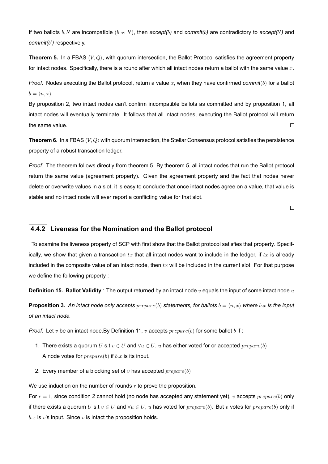If two ballots  $b, b'$  are incompatible  $(b \nsim b')$ , then  $accept(b)$  and  $commit(b)$  are contradictory to  $accept(b')$  and *commit(b ′ )* respectively.

**Theorem 5.** In a FBAS *⟨V, Q⟩*, with quorum intersection, the Ballot Protocol satisfies the agreement property for intact nodes. Specifically, there is a round after which all intact nodes return a ballot with the same value *x*.

*Proof.* Nodes executing the Ballot protocol, return a value *x*, when they have confirmed *commit*(*b*) for a ballot  $b = \langle n, x \rangle$ .

By proposition 2, two intact nodes can't confirm incompatible ballots as committed and by proposition 1, all intact nodes will eventually terminate. It follows that all intact nodes, executing the Ballot protocol will return the same value.  $\Box$ 

**Theorem 6.** In a FBAS *⟨V, Q⟩* with quorum intersection, the Stellar Consensus protocol satisfies the persistence property of a robust transaction ledger.

*Proof.* The theorem follows directly from theorem 5. By theorem 5, all intact nodes that run the Ballot protocol return the same value (agreement property). Given the agreement property and the fact that nodes never delete or overwrite values in a slot, it is easy to conclude that once intact nodes agree on a value, that value is stable and no intact node will ever report a conflicting value for that slot.

 $\Box$ 

### **4.4.2 Liveness for the Nomination and the Ballot protocol**

To examine the liveness property of SCP with first show that the Ballot protocol satisfies that property. Specifically, we show that given a transaction  $tx$  that all intact nodes want to include in the ledger, if  $tx$  is already included in the composite value of an intact node, then  $tx$  will be included in the current slot. For that purpose we define the following property :

**Definition 15. Ballot Validity** : The output returned by an intact node *v* equals the input of some intact node *u*

**Proposition 3.** An intact node only accepts  $prepare(b)$  statements, for ballots  $b = \langle n, x \rangle$  where  $b.x$  is the input *of an intact node.*

*Proof.* Let *v* be an intact node.By Definition 11, *v* accepts  $prepare(h)$  for some ballot *b* if :

- 1. There exists a quorum *U* s.t  $v \in U$  and  $\forall u \in U$ , *u* has either voted for or accepted *prepare*(*b*) A node votes for *prepare*(*b*) if *b.x* is its input.
- 2. Every member of a blocking set of *v* has accepted *prepare*(*b*)

We use induction on the number of rounds *r* to prove the proposition.

For *r* = 1, since condition 2 cannot hold (no node has accepted any statement yet), *v* accepts *prepare*(*b*) only if there exists a quorum *U* s.t  $v \in U$  and  $\forall u \in U$ , *u* has voted for *prepare*(*b*). But *v* votes for *prepare*(*b*) only if *b.x* is *v*'s input. Since *v* is intact the proposition holds.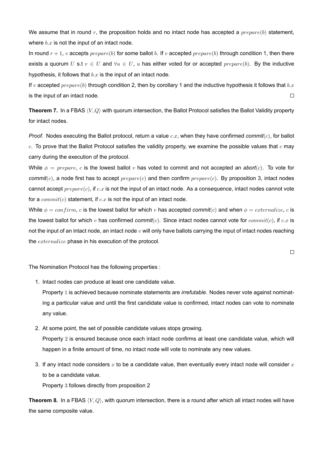We assume that in round *r*, the proposition holds and no intact node has accepted a *prepare*(*b*) statement, where  $b.x$  is not the input of an intact node.

In round  $r + 1$ , *v* accepts  $prepare(h)$  for some ballot *b*. If *v* accepted  $prepare(h)$  through condition 1, then there exists a quorum *U* s.t  $v \in U$  and  $\forall u \in U$ , *u* has either voted for or accepted  $prepare(b)$ . By the inductive hypothesis, it follows that *b.x* is the input of an intact node.

If *v* accepted *prepare*(*b*) through condition 2, then by corollary 1 and the inductive hypothesis it follows that *b.x* is the input of an intact node.  $\Box$ 

**Theorem 7.** In a FBAS *⟨V, Q⟩* with quorum intersection, the Ballot Protocol satisfies the Ballot Validity property for intact nodes.

*Proof.* Nodes executing the Ballot protocol, return a value *c.x*, when they have confirmed *commit*(*c*), for ballot *c*. To prove that the Ballot Protocol satisfies the validity property, we examine the possible values that *c* may carry during the execution of the protocol.

While  $\phi = prepare$ , *c* is the lowest ballot *v* has voted to commit and not accepted an *abort*(*c*). To vote for *commit*(*c*), a node first has to accept *prepare*(*c*) and then confirm *prepare*(*c*). By proposition 3, intact nodes cannot accept *prepare*(*c*), if *c.x* is not the input of an intact node. As a consequence, intact nodes cannot vote for a *commit*(*c*) statement, if *c.x* is not the input of an intact node.

While  $\phi = \text{confirm}, c$  is the lowest ballot for which v has accepted *commit*(*c*) and when  $\phi = \text{externalize}, c$  is the lowest ballot for which *v* has confirmed *commit*(*c*). Since intact nodes cannot vote for *commit*(*c*), if *c.x* is not the input of an intact node, an intact node *v* will only have ballots carrying the input of intact nodes reaching the *externalize* phase in his execution of the protocol.

 $\Box$ 

The Nomination Protocol has the following properties :

1. Intact nodes can produce at least one candidate value.

Property 1 is achieved because nominate statements are *irrefutable*. Nodes never vote against nominating a particular value and until the first candidate value is confirmed, intact nodes can vote to nominate any value.

- 2. At some point, the set of possible candidate values stops growing. Property 2 is ensured because once each intact node confirms at least one candidate value, which will happen in a finite amount of time, no intact node will vote to nominate any new values.
- 3. If any intact node considers *x* to be a candidate value, then eventually every intact node will consider *x* to be a candidate value.

Property 3 follows directly from proposition 2

**Theorem 8.** In a FBAS *⟨V, Q⟩*, with quorum intersection, there is a round after which all intact nodes will have the same composite value.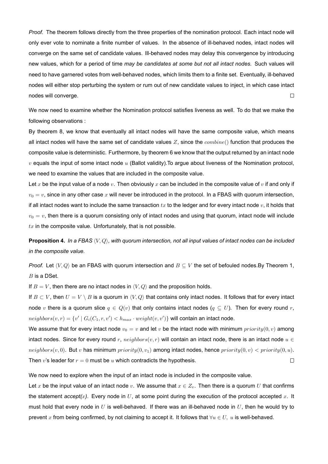*Proof.* The theorem follows directly from the three properties of the nomination protocol. Each intact node will only ever vote to nominate a finite number of values. In the absence of ill-behaved nodes, intact nodes will converge on the same set of candidate values. Ill-behaved nodes may delay this convergence by introducing new values, which for a period of time *may be candidates at some but not all intact nodes.* Such values will need to have garnered votes from well-behaved nodes, which limits them to a finite set. Eventually, ill-behaved nodes will either stop perturbing the system or rum out of new candidate values to inject, in which case intact nodes will converge.  $\Box$ 

We now need to examine whether the Nomination protocol satisfies liveness as well. To do that we make the following observations :

By theorem 8, we know that eventually all intact nodes will have the same composite value, which means all intact nodes will have the same set of candidate values *Z*, since the *combine*() function that produces the composite value is deterministic. Furthermore, by theorem 6 we know that the output returned by an intact node *v* equals the input of some intact node *u* (Ballot validity).To argue about liveness of the Nomination protocol, we need to examine the values that are included in the composite value.

Let *x* be the input value of a node *v*. Then obviously *x* can be included in the composite value of *v* if and only if  $v_0 = v$ , since in any other case x will never be introduced in the protocol. In a FBAS with quorum intersection, if all intact nodes want to include the same transaction  $tx$  to the ledger and for every intact node  $v$ , it holds that  $v_0 = v$ , then there is a quorum consisting only of intact nodes and using that quorum, intact node will include *tx* in the composite value. Unfortunately, that is not possible.

**Proposition 4.** *In a FBAS ⟨V, Q⟩, with quorum intersection, not all input values of intact nodes can be included in the composite value.*

*Proof.* Let  $\langle V, Q \rangle$  be an FBAS with quorum intersection and  $B \subseteq V$  the set of befouled nodes.By Theorem 1, *B* is a DSet.

If  $B = V$ , then there are no intact nodes in  $\langle V, Q \rangle$  and the proposition holds.

If *B ⊂ V* , then *U* = *V \ B* is a quorum in *⟨V, Q⟩* that contains only intact nodes. It follows that for every intact node *v* there is a quorum slice  $q \in Q(v)$  that only contains intact nodes  $(q \subseteq U)$ . Then for every round *r*,  $neighbors(v,r) = \{v' \mid G_i(C_1,r,v') < h_{max} \cdot weight(v,v')\}$  will contain an intact node.

We assume that for every intact node  $v_0 = v$  and let *v* be the intact node with minimum *priority*(0, *v*) among intact nodes. Since for every round  $r$ ,  $neighbors(v, r)$  will contain an intact node, there is an intact node  $u \in$  $neighbors(v, 0)$ . But *v* has minimum  $priority(0, v_1)$  among intact nodes, hence  $priority(0, v)$  <  $priority(0, u)$ . Then *v*'s leader for  $r = 0$  must be *u* which contradicts the hypothesis.  $\Box$ 

We now need to explore when the input of an intact node is included in the composite value.

Let x be the input value of an intact node v. We assume that  $x \in Z_n$ . Then there is a quorum U that confirms the statement  $accept(x)$ . Every node in  $U$ , at some point during the execution of the protocol accepted  $x$ . It must hold that every node in *U* is well-behaved. If there was an ill-behaved node in *U*, then he would try to prevent *x* from being confirmed, by not claiming to accept it. It follows that *∀u ∈ U, u* is well-behaved.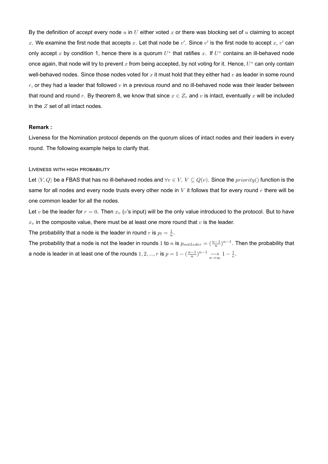By the definition of *accept* every node *u* in *U* either voted *x* or there was blocking set of *u* claiming to accept x. We examine the first node that accepts x. Let that node be  $v'$ . Since  $v'$  is the first node to accept  $x, v'$  can only accept *x* by condition 1, hence there is a quorum *U ∗* that ratifies *x*. If *U <sup>∗</sup>* contains an ill-behaved node once again, that node will try to prevent *x* from being accepted, by not voting for it. Hence, *U <sup>∗</sup>* can only contain well-behaved nodes. Since those nodes voted for *x* it must hold that they either had *v* as leader in some round *r*, or they had a leader that followed *v* in a previous round and no ill-behaved node was their leader between that round and round r. By theorem 8, we know that since  $x \in Z_v$  and  $v$  is intact, eventually x will be included in the *Z* set of all intact nodes.

#### **Remark :**

Liveness for the Nomination protocol depends on the quorum slices of intact nodes and their leaders in every round. The following example helps to clarify that.

#### LIVENESS WITH HIGH PROBABILITY

Let *⟨V, Q⟩* be a FBAS that has no ill-behaved nodes and *∀v ∈ V, V ⊆ Q*(*v*). Since the *priority*() function is the same for all nodes and every node trusts every other node in *V* it follows that for every round *r* there will be one common leader for all the nodes.

Let  $v$  be the leader for  $r = 0$ . Then  $x_v$  ( $v$ 's input) will be the only value introduced to the protocol. But to have  $x<sub>v</sub>$  in the composite value, there must be at least one more round that  $v$  is the leader.

The probability that a node is the leader in round  $r$  is  $p_l = \frac{1}{n}$ .

The probability that a node is not the leader in rounds 1 to *n* is  $p_{notLeder} = (\frac{n-1}{n})^{n-1}$ . Then the probability that a node is leader in at least one of the rounds  $1, 2, ..., r$  is  $p = 1 - (\frac{n-1}{n})^{n-1} \longrightarrow_{n \to \infty} 1 - \frac{1}{e}$ .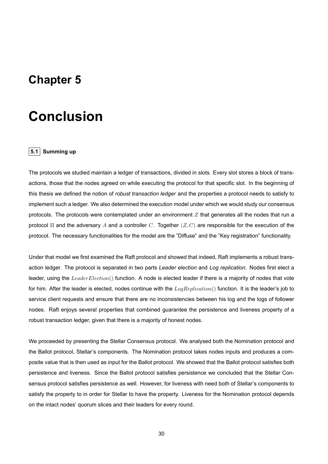### **Chapter 5**

## **Conclusion**

### **5.1 Summing up**

The protocols we studied maintain a ledger of transactions, divided in slots. Every slot stores a block of transactions, those that the nodes agreed on while executing the protocol for that specific slot. In the beginning of this thesis we defined the notion of *robust transaction ledger* and the properties a protocol needs to satisfy to implement such a ledger. We also determined the execution model under which we would study our consensus protocols. The protocols were contemplated under an environment *Z* that generates all the nodes that run a protocol Π and the adversary *A* and a controller *C*. Together (*Z, C*) are responsible for the execution of the protocol. The necessary functionalities for the model are the "Diffuse" and the "Key registration" functionality.

Under that model we first examined the Raft protocol and showed that indeed, Raft implements a robust transaction ledger. The protocol is separated in two parts *Leader election* and *Log replication*. Nodes first elect a leader, using the *LeaderElection*() function. A node is elected leader if there is a majority of nodes that vote for him. After the leader is elected, nodes continue with the *LogReplication*() function. It is the leader's job to service client requests and ensure that there are no inconsistencies between his log and the logs of follower nodes. Raft enjoys several properties that combined guarantee the persistence and liveness property of a robust transaction ledger, given that there is a majority of honest nodes.

We proceeded by presenting the Stellar Consensus protocol. We analysed both the Nomination protocol and the Ballot protocol, Stellar's components. The Nomination protocol takes nodes inputs and produces a composite value that is then used as input for the Ballot protocol. We showed that the Ballot protocol satisfies both persistence and liveness. Since the Ballot protocol satisfies persistence we concluded that the Stellar Consensus protocol satisfies persistence as well. However, for liveness with need both of Stellar's components to satisfy the property to in order for Stellar to have the property. Liveness for the Nomination protocol depends on the intact nodes' quorum slices and their leaders for every round.

30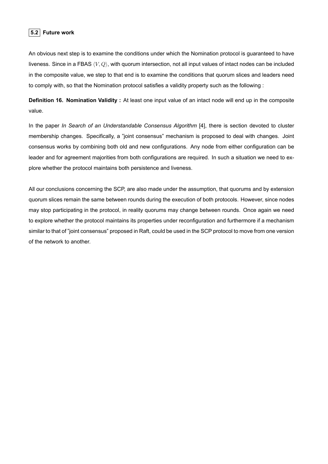### **5.2 Future work**

An obvious next step is to examine the conditions under which the Nomination protocol is guaranteed to have liveness. Since in a FBAS *⟨V, Q⟩*, with quorum intersection, not all input values of intact nodes can be included in the composite value, we step to that end is to examine the conditions that quorum slices and leaders need to comply with, so that the Nomination protocol satisfies a validity property such as the following :

**Definition 16. Nomination Validity :** At least one input value of an intact node will end up in the composite value.

In the paper *In Search of an Understandable Consensus Algorithm* [4], there is section devoted to cluster membership changes. Specifically, a "joint consensus" mechanism is proposed to deal with changes. Joint consensus works by combining both old and new configurations. Any node from either configuration can be leader and for agreement majorities from both configurations are required. In such a situation we need to explore whether the protocol maintains both persistence and liveness.

All our conclusions concerning the SCP, are also made under the assumption, that quorums and by extension quorum slices remain the same between rounds during the execution of both protocols. However, since nodes may stop participating in the protocol, in reality quorums may change between rounds. Once again we need to explore whether the protocol maintains its properties under reconfiguration and furthermore if a mechanism similar to that of "joint consensus" proposed in Raft, could be used in the SCP protocol to move from one version of the network to another.